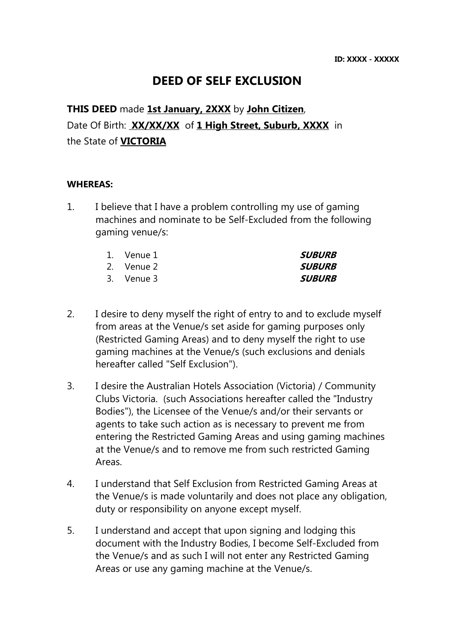# DEED OF SELF EXCLUSION

**THIS DEED** made **1st January, 2XXX** by **John Citizen**, Date Of Birth: XX/XX/XX of 1 High Street, Suburb, XXXX in the State of VICTORIA

#### WHEREAS:

1. I believe that I have a problem controlling my use of gaming machines and nominate to be Self-Excluded from the following gaming venue/s:

| 1. Venue 1 | <i>SUBURB</i> |
|------------|---------------|
| 2. Venue 2 | <b>SUBURB</b> |
| 3. Venue 3 | <b>SUBURB</b> |

- 2. I desire to deny myself the right of entry to and to exclude myself from areas at the Venue/s set aside for gaming purposes only (Restricted Gaming Areas) and to deny myself the right to use gaming machines at the Venue/s (such exclusions and denials hereafter called "Self Exclusion").
- 3. I desire the Australian Hotels Association (Victoria) / Community Clubs Victoria. (such Associations hereafter called the "Industry Bodies"), the Licensee of the Venue/s and/or their servants or agents to take such action as is necessary to prevent me from entering the Restricted Gaming Areas and using gaming machines at the Venue/s and to remove me from such restricted Gaming Areas.
- 4. I understand that Self Exclusion from Restricted Gaming Areas at the Venue/s is made voluntarily and does not place any obligation, duty or responsibility on anyone except myself.
- 5. I understand and accept that upon signing and lodging this document with the Industry Bodies, I become Self-Excluded from the Venue/s and as such I will not enter any Restricted Gaming Areas or use any gaming machine at the Venue/s.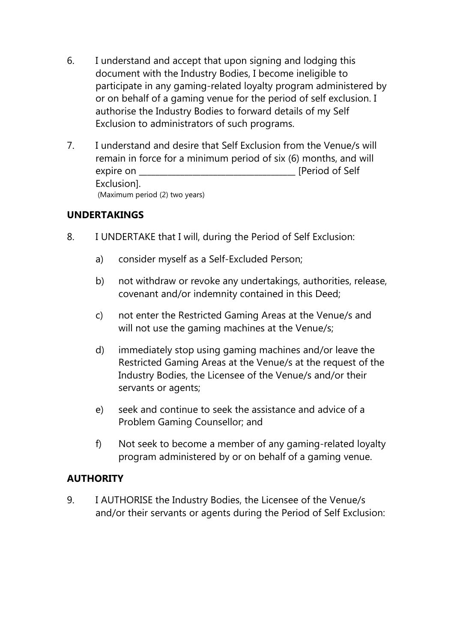- 6. I understand and accept that upon signing and lodging this document with the Industry Bodies, I become ineligible to participate in any gaming-related loyalty program administered by or on behalf of a gaming venue for the period of self exclusion. I authorise the Industry Bodies to forward details of my Self Exclusion to administrators of such programs.
- 7. I understand and desire that Self Exclusion from the Venue/s will remain in force for a minimum period of six (6) months, and will expire on **Expire on Expire on Expire on Expedience** of Self Exclusion]. (Maximum period (2) two years)

## UNDERTAKINGS

- 8. I UNDERTAKE that I will, during the Period of Self Exclusion:
	- a) consider myself as a Self-Excluded Person;
	- b) not withdraw or revoke any undertakings, authorities, release, covenant and/or indemnity contained in this Deed;
	- c) not enter the Restricted Gaming Areas at the Venue/s and will not use the gaming machines at the Venue/s;
	- d) immediately stop using gaming machines and/or leave the Restricted Gaming Areas at the Venue/s at the request of the Industry Bodies, the Licensee of the Venue/s and/or their servants or agents;
	- e) seek and continue to seek the assistance and advice of a Problem Gaming Counsellor; and
	- f) Not seek to become a member of any gaming-related loyalty program administered by or on behalf of a gaming venue.

## **AUTHORITY**

9. I AUTHORISE the Industry Bodies, the Licensee of the Venue/s and/or their servants or agents during the Period of Self Exclusion: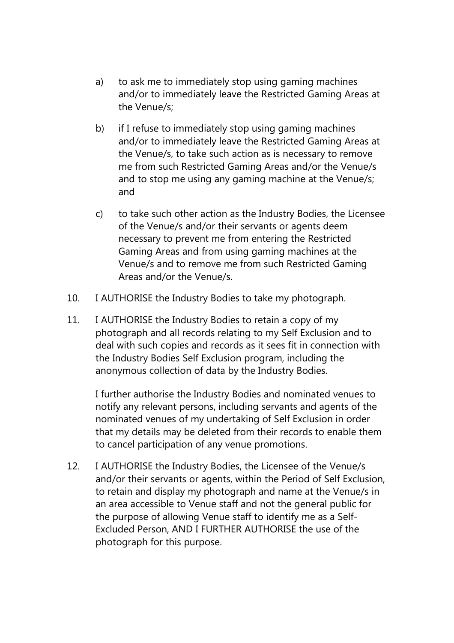- a) to ask me to immediately stop using gaming machines and/or to immediately leave the Restricted Gaming Areas at the Venue/s;
- b) if I refuse to immediately stop using gaming machines and/or to immediately leave the Restricted Gaming Areas at the Venue/s, to take such action as is necessary to remove me from such Restricted Gaming Areas and/or the Venue/s and to stop me using any gaming machine at the Venue/s; and
- c) to take such other action as the Industry Bodies, the Licensee of the Venue/s and/or their servants or agents deem necessary to prevent me from entering the Restricted Gaming Areas and from using gaming machines at the Venue/s and to remove me from such Restricted Gaming Areas and/or the Venue/s.
- 10. I AUTHORISE the Industry Bodies to take my photograph.
- 11. I AUTHORISE the Industry Bodies to retain a copy of my photograph and all records relating to my Self Exclusion and to deal with such copies and records as it sees fit in connection with the Industry Bodies Self Exclusion program, including the anonymous collection of data by the Industry Bodies.

I further authorise the Industry Bodies and nominated venues to notify any relevant persons, including servants and agents of the nominated venues of my undertaking of Self Exclusion in order that my details may be deleted from their records to enable them to cancel participation of any venue promotions.

12. I AUTHORISE the Industry Bodies, the Licensee of the Venue/s and/or their servants or agents, within the Period of Self Exclusion, to retain and display my photograph and name at the Venue/s in an area accessible to Venue staff and not the general public for the purpose of allowing Venue staff to identify me as a Self-Excluded Person, AND I FURTHER AUTHORISE the use of the photograph for this purpose.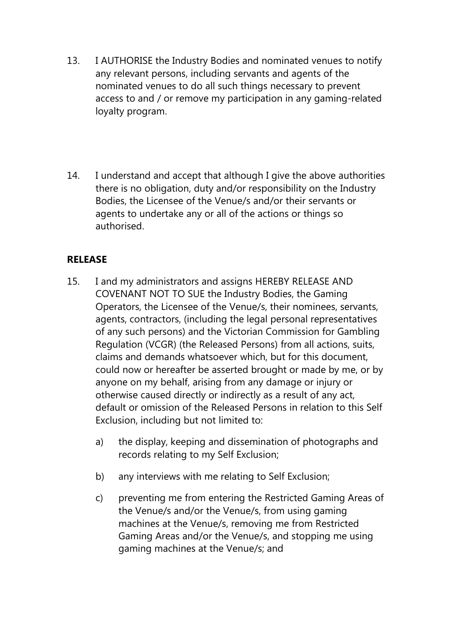- 13. I AUTHORISE the Industry Bodies and nominated venues to notify any relevant persons, including servants and agents of the nominated venues to do all such things necessary to prevent access to and / or remove my participation in any gaming-related loyalty program.
- 14. I understand and accept that although I give the above authorities there is no obligation, duty and/or responsibility on the Industry Bodies, the Licensee of the Venue/s and/or their servants or agents to undertake any or all of the actions or things so authorised.

## RELEASE

- 15. I and my administrators and assigns HEREBY RELEASE AND COVENANT NOT TO SUE the Industry Bodies, the Gaming Operators, the Licensee of the Venue/s, their nominees, servants, agents, contractors, (including the legal personal representatives of any such persons) and the Victorian Commission for Gambling Regulation (VCGR) (the Released Persons) from all actions, suits, claims and demands whatsoever which, but for this document, could now or hereafter be asserted brought or made by me, or by anyone on my behalf, arising from any damage or injury or otherwise caused directly or indirectly as a result of any act, default or omission of the Released Persons in relation to this Self Exclusion, including but not limited to:
	- a) the display, keeping and dissemination of photographs and records relating to my Self Exclusion;
	- b) any interviews with me relating to Self Exclusion;
	- c) preventing me from entering the Restricted Gaming Areas of the Venue/s and/or the Venue/s, from using gaming machines at the Venue/s, removing me from Restricted Gaming Areas and/or the Venue/s, and stopping me using gaming machines at the Venue/s; and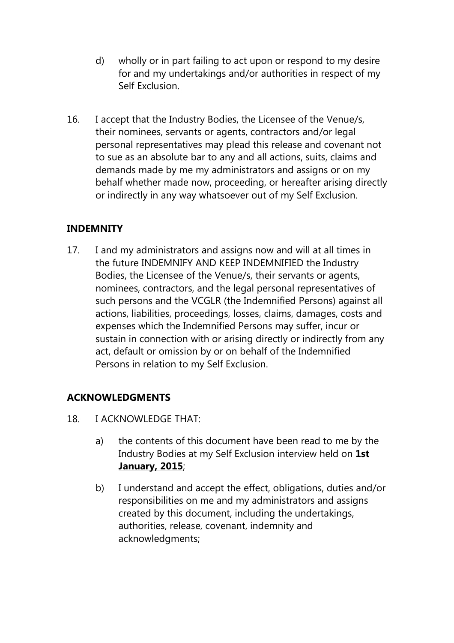- d) wholly or in part failing to act upon or respond to my desire for and my undertakings and/or authorities in respect of my Self Exclusion.
- 16. I accept that the Industry Bodies, the Licensee of the Venue/s, their nominees, servants or agents, contractors and/or legal personal representatives may plead this release and covenant not to sue as an absolute bar to any and all actions, suits, claims and demands made by me my administrators and assigns or on my behalf whether made now, proceeding, or hereafter arising directly or indirectly in any way whatsoever out of my Self Exclusion.

## **INDEMNITY**

17. I and my administrators and assigns now and will at all times in the future INDEMNIFY AND KEEP INDEMNIFIED the Industry Bodies, the Licensee of the Venue/s, their servants or agents, nominees, contractors, and the legal personal representatives of such persons and the VCGLR (the Indemnified Persons) against all actions, liabilities, proceedings, losses, claims, damages, costs and expenses which the Indemnified Persons may suffer, incur or sustain in connection with or arising directly or indirectly from any act, default or omission by or on behalf of the Indemnified Persons in relation to my Self Exclusion.

#### ACKNOWLEDGMENTS

- 18. I ACKNOWLEDGE THAT:
	- a) the contents of this document have been read to me by the Industry Bodies at my Self Exclusion interview held on 1st January, 2015;
	- b) I understand and accept the effect, obligations, duties and/or responsibilities on me and my administrators and assigns created by this document, including the undertakings, authorities, release, covenant, indemnity and acknowledgments;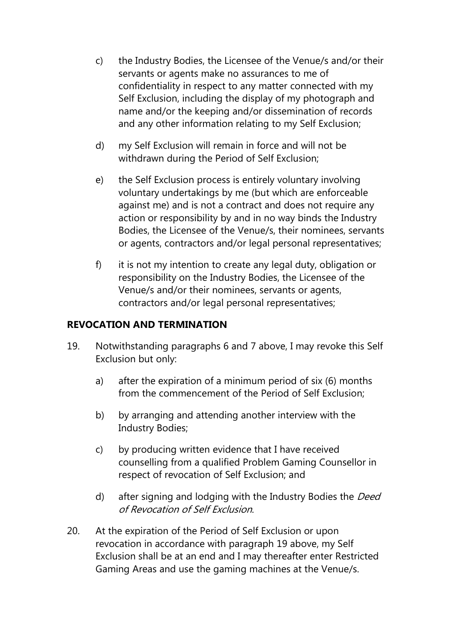- c) the Industry Bodies, the Licensee of the Venue/s and/or their servants or agents make no assurances to me of confidentiality in respect to any matter connected with my Self Exclusion, including the display of my photograph and name and/or the keeping and/or dissemination of records and any other information relating to my Self Exclusion;
- d) my Self Exclusion will remain in force and will not be withdrawn during the Period of Self Exclusion;
- e) the Self Exclusion process is entirely voluntary involving voluntary undertakings by me (but which are enforceable against me) and is not a contract and does not require any action or responsibility by and in no way binds the Industry Bodies, the Licensee of the Venue/s, their nominees, servants or agents, contractors and/or legal personal representatives;
- f) it is not my intention to create any legal duty, obligation or responsibility on the Industry Bodies, the Licensee of the Venue/s and/or their nominees, servants or agents, contractors and/or legal personal representatives;

## REVOCATION AND TERMINATION

- 19. Notwithstanding paragraphs 6 and 7 above, I may revoke this Self Exclusion but only:
	- a) after the expiration of a minimum period of six (6) months from the commencement of the Period of Self Exclusion;
	- b) by arranging and attending another interview with the Industry Bodies;
	- c) by producing written evidence that I have received counselling from a qualified Problem Gaming Counsellor in respect of revocation of Self Exclusion; and
	- d) after signing and lodging with the Industry Bodies the *Deed* of Revocation of Self Exclusion.
- 20. At the expiration of the Period of Self Exclusion or upon revocation in accordance with paragraph 19 above, my Self Exclusion shall be at an end and I may thereafter enter Restricted Gaming Areas and use the gaming machines at the Venue/s.